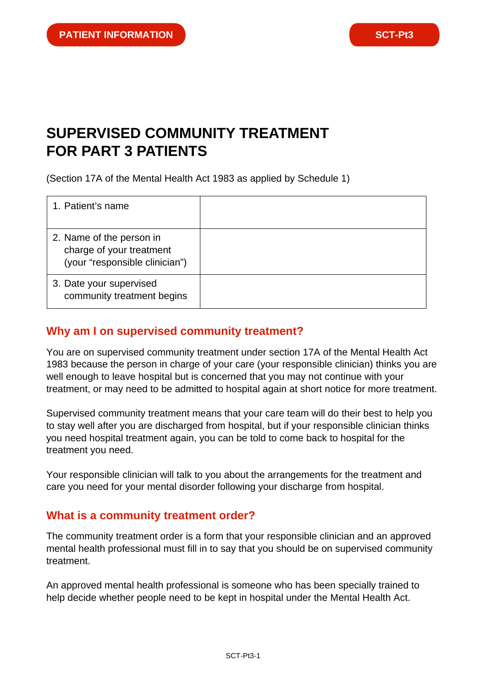# **SUPERVISED COMMUNITY TREATMENT FOR PART 3 PATIENTS**

(Section 17A of the Mental Health Act 1983 as applied by Schedule 1)

| 1. Patient's name                                                                      |  |
|----------------------------------------------------------------------------------------|--|
| 2. Name of the person in<br>charge of your treatment<br>(your "responsible clinician") |  |
| 3. Date your supervised<br>community treatment begins                                  |  |

## **Why am I on supervised community treatment?**

You are on supervised community treatment under section 17A of the Mental Health Act 1983 because the person in charge of your care (your responsible clinician) thinks you are well enough to leave hospital but is concerned that you may not continue with your treatment, or may need to be admitted to hospital again at short notice for more treatment.

Supervised community treatment means that your care team will do their best to help you to stay well after you are discharged from hospital, but if your responsible clinician thinks you need hospital treatment again, you can be told to come back to hospital for the treatment you need.

Your responsible clinician will talk to you about the arrangements for the treatment and care you need for your mental disorder following your discharge from hospital.

#### **What is a community treatment order?**

The community treatment order is a form that your responsible clinician and an approved mental health professional must fill in to say that you should be on supervised community treatment.

An approved mental health professional is someone who has been specially trained to help decide whether people need to be kept in hospital under the Mental Health Act.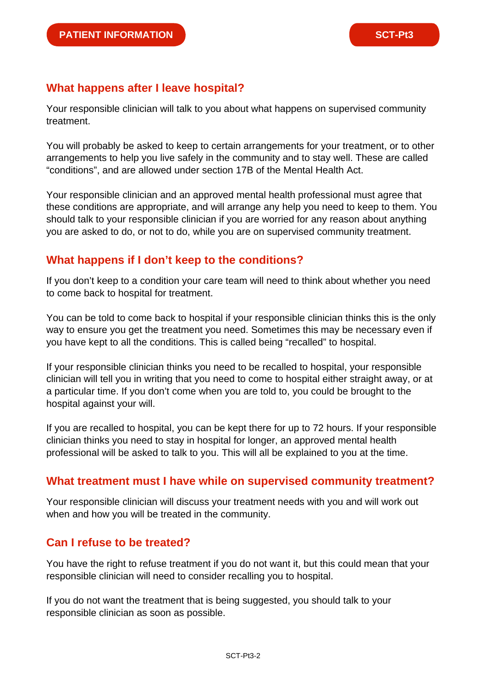## **What happens after I leave hospital?**

Your responsible clinician will talk to you about what happens on supervised community treatment.

You will probably be asked to keep to certain arrangements for your treatment, or to other arrangements to help you live safely in the community and to stay well. These are called "conditions", and are allowed under section 17B of the Mental Health Act.

Your responsible clinician and an approved mental health professional must agree that these conditions are appropriate, and will arrange any help you need to keep to them. You should talk to your responsible clinician if you are worried for any reason about anything you are asked to do, or not to do, while you are on supervised community treatment.

## **What happens if I don't keep to the conditions?**

If you don't keep to a condition your care team will need to think about whether you need to come back to hospital for treatment.

You can be told to come back to hospital if your responsible clinician thinks this is the only way to ensure you get the treatment you need. Sometimes this may be necessary even if you have kept to all the conditions. This is called being "recalled" to hospital.

If your responsible clinician thinks you need to be recalled to hospital, your responsible clinician will tell you in writing that you need to come to hospital either straight away, or at a particular time. If you don't come when you are told to, you could be brought to the hospital against your will.

If you are recalled to hospital, you can be kept there for up to 72 hours. If your responsible clinician thinks you need to stay in hospital for longer, an approved mental health professional will be asked to talk to you. This will all be explained to you at the time.

## **What treatment must I have while on supervised community treatment?**

Your responsible clinician will discuss your treatment needs with you and will work out when and how you will be treated in the community.

# **Can I refuse to be treated?**

You have the right to refuse treatment if you do not want it, but this could mean that your responsible clinician will need to consider recalling you to hospital.

If you do not want the treatment that is being suggested, you should talk to your responsible clinician as soon as possible.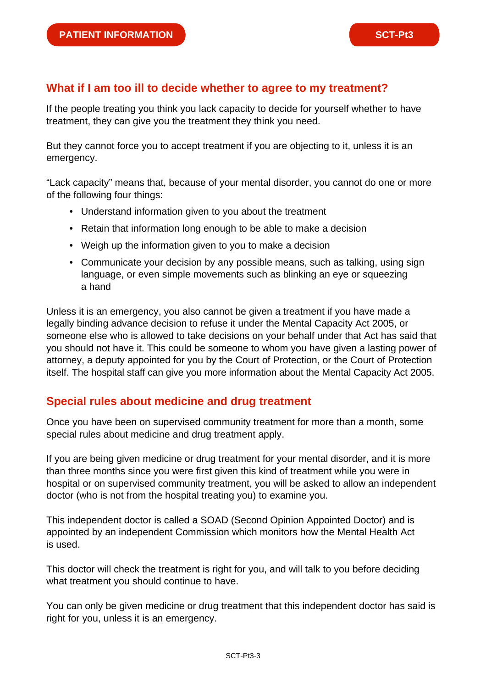#### **What if I am too ill to decide whether to agree to my treatment?**

If the people treating you think you lack capacity to decide for yourself whether to have treatment, they can give you the treatment they think you need.

But they cannot force you to accept treatment if you are objecting to it, unless it is an emergency.

"Lack capacity" means that, because of your mental disorder, you cannot do one or more of the following four things:

- Understand information given to you about the treatment
- Retain that information long enough to be able to make a decision
- Weigh up the information given to you to make a decision
- Communicate your decision by any possible means, such as talking, using sign language, or even simple movements such as blinking an eye or squeezing a hand

Unless it is an emergency, you also cannot be given a treatment if you have made a legally binding advance decision to refuse it under the Mental Capacity Act 2005, or someone else who is allowed to take decisions on your behalf under that Act has said that you should not have it. This could be someone to whom you have given a lasting power of attorney, a deputy appointed for you by the Court of Protection, or the Court of Protection itself. The hospital staff can give you more information about the Mental Capacity Act 2005.

#### **Special rules about medicine and drug treatment**

Once you have been on supervised community treatment for more than a month, some special rules about medicine and drug treatment apply.

If you are being given medicine or drug treatment for your mental disorder, and it is more than three months since you were first given this kind of treatment while you were in hospital or on supervised community treatment, you will be asked to allow an independent doctor (who is not from the hospital treating you) to examine you.

This independent doctor is called a SOAD (Second Opinion Appointed Doctor) and is appointed by an independent Commission which monitors how the Mental Health Act is used.

This doctor will check the treatment is right for you, and will talk to you before deciding what treatment you should continue to have.

You can only be given medicine or drug treatment that this independent doctor has said is right for you, unless it is an emergency.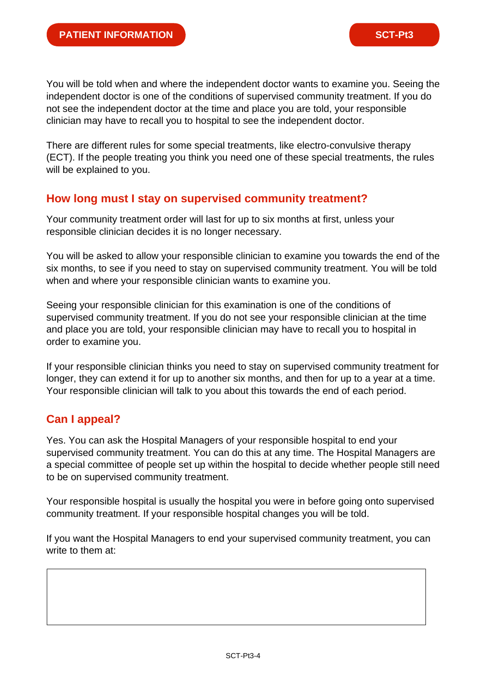You will be told when and where the independent doctor wants to examine you. Seeing the independent doctor is one of the conditions of supervised community treatment. If you do not see the independent doctor at the time and place you are told, your responsible clinician may have to recall you to hospital to see the independent doctor.

There are different rules for some special treatments, like electro-convulsive therapy (ECT). If the people treating you think you need one of these special treatments, the rules will be explained to you.

#### **How long must I stay on supervised community treatment?**

Your community treatment order will last for up to six months at first, unless your responsible clinician decides it is no longer necessary.

You will be asked to allow your responsible clinician to examine you towards the end of the six months, to see if you need to stay on supervised community treatment. You will be told when and where your responsible clinician wants to examine you.

Seeing your responsible clinician for this examination is one of the conditions of supervised community treatment. If you do not see your responsible clinician at the time and place you are told, your responsible clinician may have to recall you to hospital in order to examine you.

If your responsible clinician thinks you need to stay on supervised community treatment for longer, they can extend it for up to another six months, and then for up to a year at a time. Your responsible clinician will talk to you about this towards the end of each period.

## **Can I appeal?**

Yes. You can ask the Hospital Managers of your responsible hospital to end your supervised community treatment. You can do this at any time. The Hospital Managers are a special committee of people set up within the hospital to decide whether people still need to be on supervised community treatment.

Your responsible hospital is usually the hospital you were in before going onto supervised community treatment. If your responsible hospital changes you will be told.

If you want the Hospital Managers to end your supervised community treatment, you can write to them at: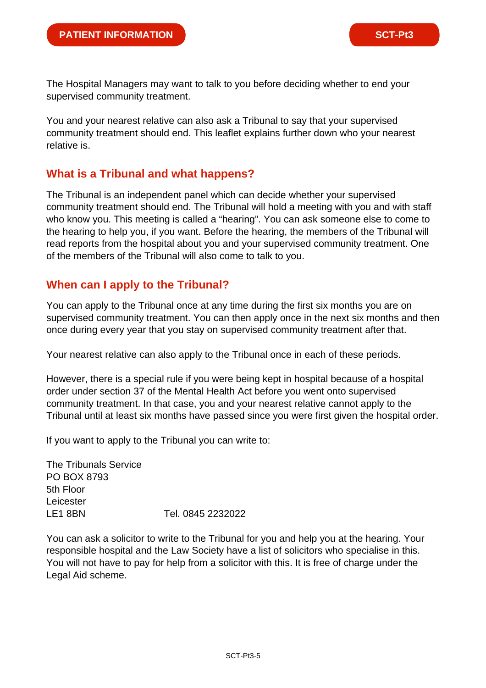The Hospital Managers may want to talk to you before deciding whether to end your supervised community treatment.

You and your nearest relative can also ask a Tribunal to say that your supervised community treatment should end. This leaflet explains further down who your nearest relative is.

## **What is a Tribunal and what happens?**

The Tribunal is an independent panel which can decide whether your supervised community treatment should end. The Tribunal will hold a meeting with you and with staff who know you. This meeting is called a "hearing". You can ask someone else to come to the hearing to help you, if you want. Before the hearing, the members of the Tribunal will read reports from the hospital about you and your supervised community treatment. One of the members of the Tribunal will also come to talk to you.

## **When can I apply to the Tribunal?**

You can apply to the Tribunal once at any time during the first six months you are on supervised community treatment. You can then apply once in the next six months and then once during every year that you stay on supervised community treatment after that.

Your nearest relative can also apply to the Tribunal once in each of these periods.

However, there is a special rule if you were being kept in hospital because of a hospital order under section 37 of the Mental Health Act before you went onto supervised community treatment. In that case, you and your nearest relative cannot apply to the Tribunal until at least six months have passed since you were first given the hospital order.

If you want to apply to the Tribunal you can write to:

The Tribunals Service PO BOX 8793 5th Floor Leicester LE1 8BN Tel. 0845 2232022

You can ask a solicitor to write to the Tribunal for you and help you at the hearing. Your responsible hospital and the Law Society have a list of solicitors who specialise in this. You will not have to pay for help from a solicitor with this. It is free of charge under the Legal Aid scheme.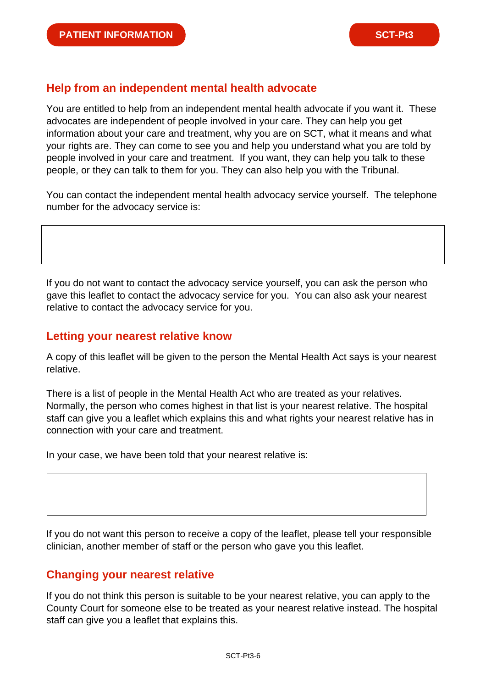## **Help from an independent mental health advocate**

You are entitled to help from an independent mental health advocate if you want it. These advocates are independent of people involved in your care. They can help you get information about your care and treatment, why you are on SCT, what it means and what your rights are. They can come to see you and help you understand what you are told by people involved in your care and treatment. If you want, they can help you talk to these people, or they can talk to them for you. They can also help you with the Tribunal.

You can contact the independent mental health advocacy service yourself. The telephone number for the advocacy service is:

If you do not want to contact the advocacy service yourself, you can ask the person who gave this leaflet to contact the advocacy service for you. You can also ask your nearest relative to contact the advocacy service for you.

## **Letting your nearest relative know**

A copy of this leaflet will be given to the person the Mental Health Act says is your nearest relative.

There is a list of people in the Mental Health Act who are treated as your relatives. Normally, the person who comes highest in that list is your nearest relative. The hospital staff can give you a leaflet which explains this and what rights your nearest relative has in connection with your care and treatment.

In your case, we have been told that your nearest relative is:

If you do not want this person to receive a copy of the leaflet, please tell your responsible clinician, another member of staff or the person who gave you this leaflet.

## **Changing your nearest relative**

If you do not think this person is suitable to be your nearest relative, you can apply to the County Court for someone else to be treated as your nearest relative instead. The hospital staff can give you a leaflet that explains this.